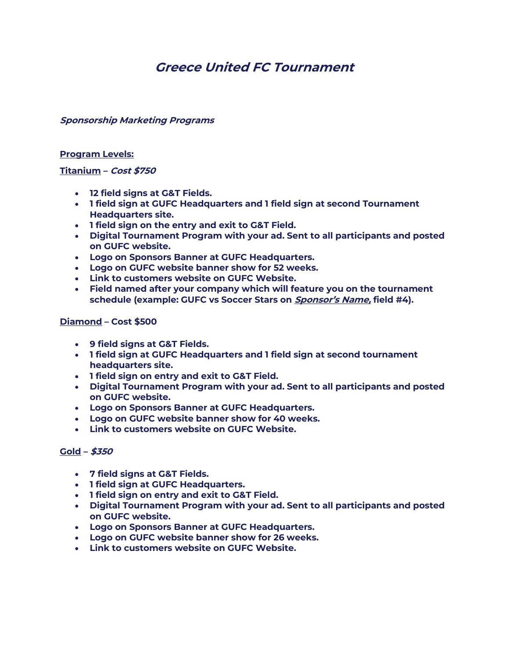# **Greece United FC Tournament**

**Sponsorship Marketing Programs**

## **Program Levels:**

# **Titanium – Cost \$750**

- **12 field signs at G&T Fields.**
- **1 field sign at GUFC Headquarters and 1 field sign at second Tournament Headquarters site.**
- **1 field sign on the entry and exit to G&T Field.**
- **Digital Tournament Program with your ad. Sent to all participants and posted on GUFC website.**
- **Logo on Sponsors Banner at GUFC Headquarters.**
- **Logo on GUFC website banner show for 52 weeks.**
- **Link to customers website on GUFC Website.**
- **Field named after your company which will feature you on the tournament schedule (example: GUFC vs Soccer Stars on Sponsor's Name, field #4).**

# **Diamond – Cost \$500**

- **9 field signs at G&T Fields.**
- **1 field sign at GUFC Headquarters and 1 field sign at second tournament headquarters site.**
- **1 field sign on entry and exit to G&T Field.**
- **Digital Tournament Program with your ad. Sent to all participants and posted on GUFC website.**
- **Logo on Sponsors Banner at GUFC Headquarters.**
- **Logo on GUFC website banner show for 40 weeks.**
- **Link to customers website on GUFC Website.**

#### **Gold – \$350**

- **7 field signs at G&T Fields.**
- **1 field sign at GUFC Headquarters.**
- **1 field sign on entry and exit to G&T Field.**
- **Digital Tournament Program with your ad. Sent to all participants and posted on GUFC website.**
- **Logo on Sponsors Banner at GUFC Headquarters.**
- **Logo on GUFC website banner show for 26 weeks.**
- **Link to customers website on GUFC Website.**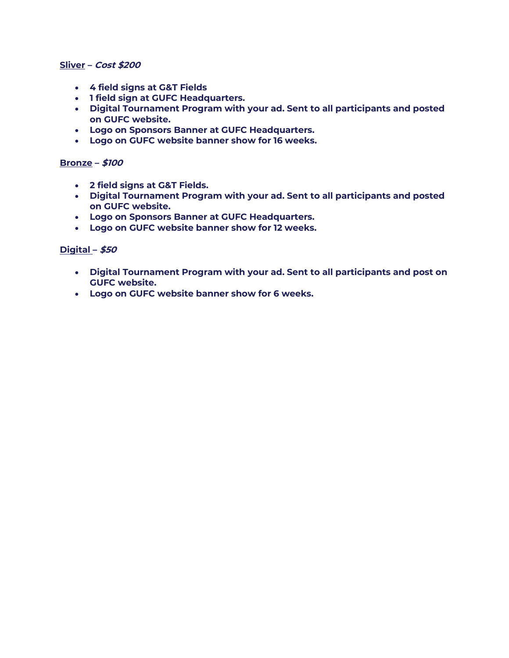#### **Sliver – Cost \$200**

- **4 field signs at G&T Fields**
- **1 field sign at GUFC Headquarters.**
- **Digital Tournament Program with your ad. Sent to all participants and posted on GUFC website.**
- **Logo on Sponsors Banner at GUFC Headquarters.**
- **Logo on GUFC website banner show for 16 weeks.**

# **Bronze – \$100**

- **2 field signs at G&T Fields.**
- **Digital Tournament Program with your ad. Sent to all participants and posted on GUFC website.**
- **Logo on Sponsors Banner at GUFC Headquarters.**
- **Logo on GUFC website banner show for 12 weeks.**

# **Digital – \$50**

- **Digital Tournament Program with your ad. Sent to all participants and post on GUFC website.**
- **Logo on GUFC website banner show for 6 weeks.**